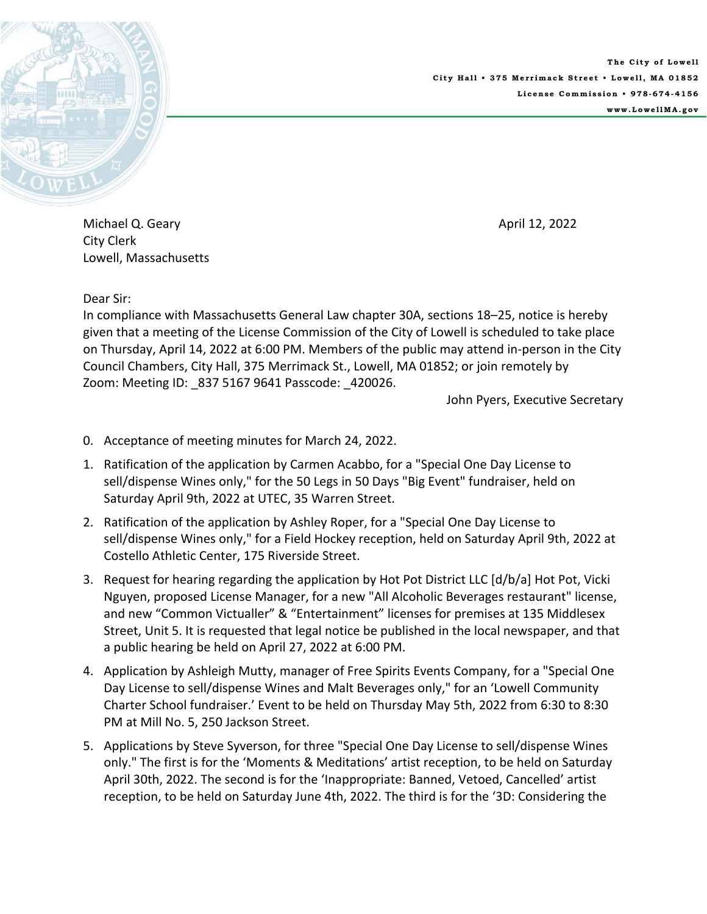

**The City of Lowell City Hall • 375 Merrimack Street • Lowell, MA 01852 License Commission • 978-674-4156 www.LowellMA.gov** 

Michael Q. Geary April 12, 2022 City Clerk Lowell, Massachusetts

Dear Sir:

In compliance with Massachusetts General Law chapter 30A, sections 18–25, notice is hereby given that a meeting of the License Commission of the City of Lowell is scheduled to take place on Thursday, April 14, 2022 at 6:00 PM. Members of the public may attend in‐person in the City Council Chambers, City Hall, 375 Merrimack St., Lowell, MA 01852; or join remotely by Zoom: Meeting ID: 837 5167 9641 Passcode: 420026.

John Pyers, Executive Secretary

- 0. Acceptance of meeting minutes for March 24, 2022.
- 1. Ratification of the application by Carmen Acabbo, for a "Special One Day License to sell/dispense Wines only," for the 50 Legs in 50 Days "Big Event" fundraiser, held on Saturday April 9th, 2022 at UTEC, 35 Warren Street.
- 2. Ratification of the application by Ashley Roper, for a "Special One Day License to sell/dispense Wines only," for a Field Hockey reception, held on Saturday April 9th, 2022 at Costello Athletic Center, 175 Riverside Street.
- 3. Request for hearing regarding the application by Hot Pot District LLC [d/b/a] Hot Pot, Vicki Nguyen, proposed License Manager, for a new "All Alcoholic Beverages restaurant" license, and new "Common Victualler" & "Entertainment" licenses for premises at 135 Middlesex Street, Unit 5. It is requested that legal notice be published in the local newspaper, and that a public hearing be held on April 27, 2022 at 6:00 PM.
- 4. Application by Ashleigh Mutty, manager of Free Spirits Events Company, for a "Special One Day License to sell/dispense Wines and Malt Beverages only," for an 'Lowell Community Charter School fundraiser.' Event to be held on Thursday May 5th, 2022 from 6:30 to 8:30 PM at Mill No. 5, 250 Jackson Street.
- 5. Applications by Steve Syverson, for three "Special One Day License to sell/dispense Wines only." The first is for the 'Moments & Meditations' artist reception, to be held on Saturday April 30th, 2022. The second is for the 'Inappropriate: Banned, Vetoed, Cancelled' artist reception, to be held on Saturday June 4th, 2022. The third is for the '3D: Considering the